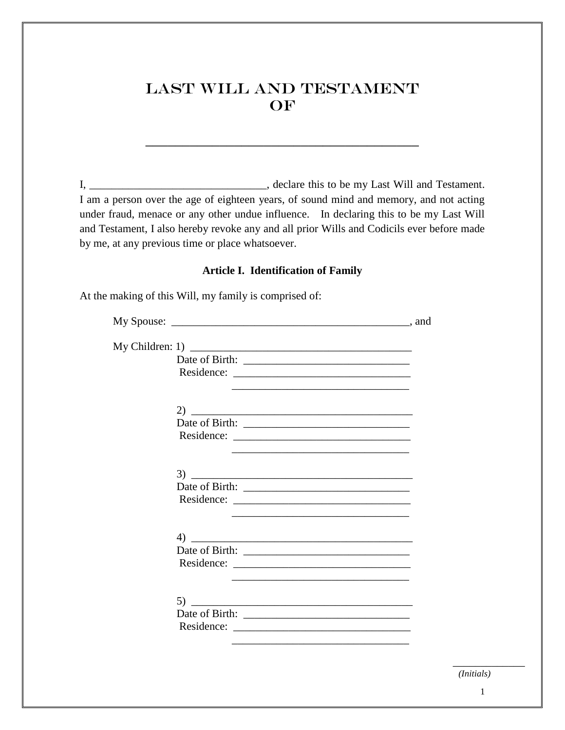# Last Will and Testament OF

I, \_\_\_\_\_\_\_\_\_\_\_\_\_\_\_\_\_\_\_\_\_\_\_\_\_\_\_\_\_\_\_\_, declare this to be my Last Will and Testament. I am a person over the age of eighteen years, of sound mind and memory, and not acting under fraud, menace or any other undue influence. In declaring this to be my Last Will and Testament, I also hereby revoke any and all prior Wills and Codicils ever before made by me, at any previous time or place whatsoever.

## **Article I. Identification of Family**

At the making of this Will, my family is comprised of:

| $\left(4\right)$ |  |
|------------------|--|
|                  |  |
|                  |  |
|                  |  |
|                  |  |
| (5)              |  |
|                  |  |
|                  |  |

*(Initials)*

\_\_\_\_\_\_\_\_\_\_\_\_\_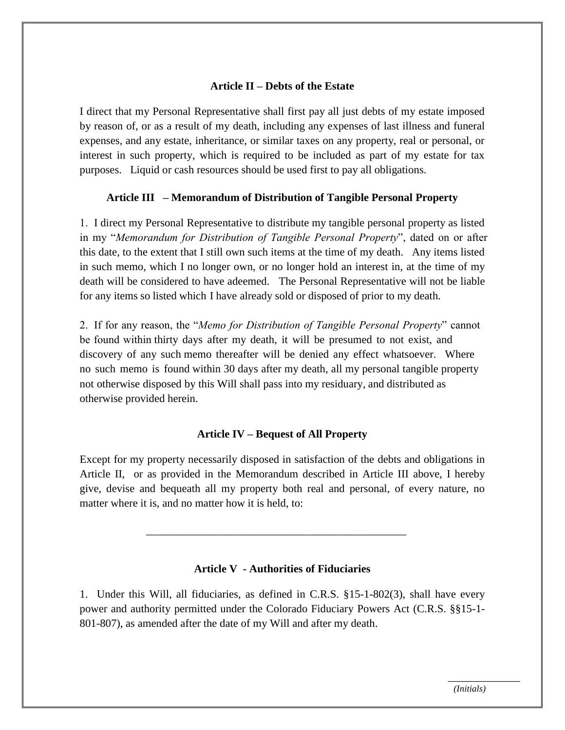### **Article II – Debts of the Estate**

I direct that my Personal Representative shall first pay all just debts of my estate imposed by reason of, or as a result of my death, including any expenses of last illness and funeral expenses, and any estate, inheritance, or similar taxes on any property, real or personal, or interest in such property, which is required to be included as part of my estate for tax purposes. Liquid or cash resources should be used first to pay all obligations.

### **Article III – Memorandum of Distribution of Tangible Personal Property**

1. I direct my Personal Representative to distribute my tangible personal property as listed in my "*Memorandum for Distribution of Tangible Personal Property*", dated on or after this date, to the extent that I still own such items at the time of my death. Any items listed in such memo, which I no longer own, or no longer hold an interest in, at the time of my death will be considered to have adeemed. The Personal Representative will not be liable for any items so listed which I have already sold or disposed of prior to my death.

2. If for any reason, the "*Memo for Distribution of Tangible Personal Property*" cannot be found within thirty days after my death, it will be presumed to not exist, and discovery of any such memo thereafter will be denied any effect whatsoever. Where no such memo is found within 30 days after my death, all my personal tangible property not otherwise disposed by this Will shall pass into my residuary, and distributed as otherwise provided herein.

#### **Article IV – Bequest of All Property**

Except for my property necessarily disposed in satisfaction of the debts and obligations in Article II, or as provided in the Memorandum described in Article III above, I hereby give, devise and bequeath all my property both real and personal, of every nature, no matter where it is, and no matter how it is held, to:

#### **Article V - Authorities of Fiduciaries**

\_\_\_\_\_\_\_\_\_\_\_\_\_\_\_\_\_\_\_\_\_\_\_\_\_\_\_\_\_\_\_\_\_\_\_\_\_\_\_\_\_\_\_\_\_\_\_

1. Under this Will, all fiduciaries, as defined in C.R.S. §15-1-802(3), shall have every power and authority permitted under the Colorado Fiduciary Powers Act (C.R.S. §§15-1- 801-807), as amended after the date of my Will and after my death.

 $\overline{\phantom{a}}$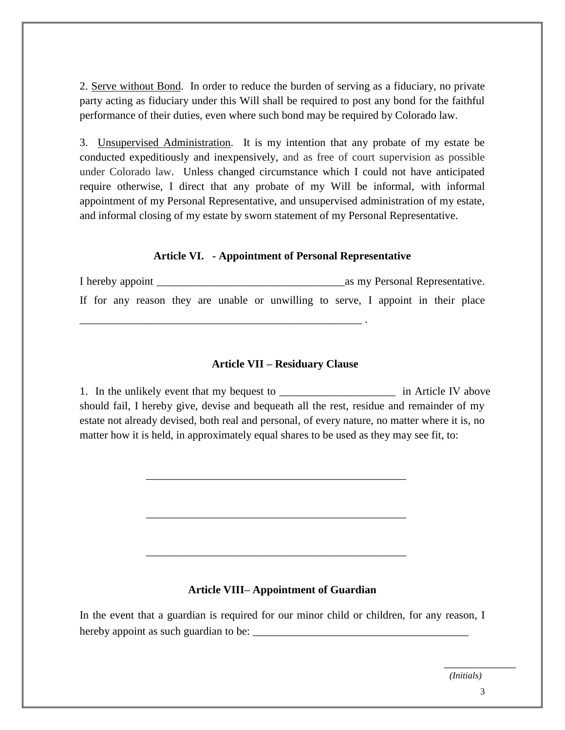2. Serve without Bond. In order to reduce the burden of serving as a fiduciary, no private party acting as fiduciary under this Will shall be required to post any bond for the faithful performance of their duties, even where such bond may be required by Colorado law.

3. Unsupervised Administration. It is my intention that any probate of my estate be conducted expeditiously and inexpensively, and as free of court supervision as possible under Colorado law. Unless changed circumstance which I could not have anticipated require otherwise, I direct that any probate of my Will be informal, with informal appointment of my Personal Representative, and unsupervised administration of my estate, and informal closing of my estate by sworn statement of my Personal Representative.

#### **Article VI. - Appointment of Personal Representative**

I hereby appoint as my Personal Representative. If for any reason they are unable or unwilling to serve, I appoint in their place

\_\_\_\_\_\_\_\_\_\_\_\_\_\_\_\_\_\_\_\_\_\_\_\_\_\_\_\_\_\_\_\_\_\_\_\_\_\_\_\_\_\_\_\_\_\_\_\_\_\_\_ .

#### **Article VII – Residuary Clause**

1. In the unlikely event that my bequest to \_\_\_\_\_\_\_\_\_\_\_\_\_\_\_\_\_\_\_\_\_\_\_\_\_\_\_ in Article IV above should fail, I hereby give, devise and bequeath all the rest, residue and remainder of my estate not already devised, both real and personal, of every nature, no matter where it is, no matter how it is held, in approximately equal shares to be used as they may see fit, to:

\_\_\_\_\_\_\_\_\_\_\_\_\_\_\_\_\_\_\_\_\_\_\_\_\_\_\_\_\_\_\_\_\_\_\_\_\_\_\_\_\_\_\_\_\_\_\_

\_\_\_\_\_\_\_\_\_\_\_\_\_\_\_\_\_\_\_\_\_\_\_\_\_\_\_\_\_\_\_\_\_\_\_\_\_\_\_\_\_\_\_\_\_\_\_

\_\_\_\_\_\_\_\_\_\_\_\_\_\_\_\_\_\_\_\_\_\_\_\_\_\_\_\_\_\_\_\_\_\_\_\_\_\_\_\_\_\_\_\_\_\_\_

#### **Article VIII– Appointment of Guardian**

In the event that a guardian is required for our minor child or children, for any reason, I hereby appoint as such guardian to be:

*(Initials)*

\_\_\_\_\_\_\_\_\_\_\_\_\_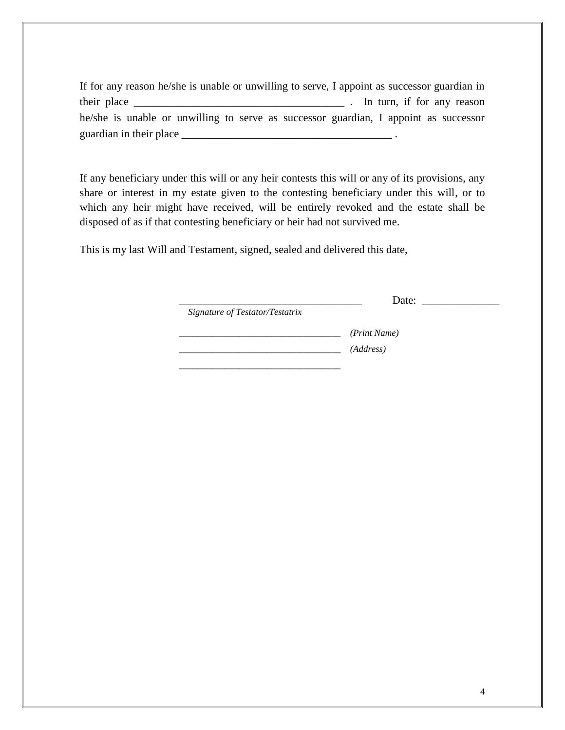If for any reason he/she is unable or unwilling to serve, I appoint as successor guardian in their place  $\frac{1}{\sqrt{2}}$  their place  $\frac{1}{\sqrt{2}}$  and  $\frac{1}{\sqrt{2}}$  and  $\frac{1}{\sqrt{2}}$  . In turn, if for any reason he/she is unable or unwilling to serve as successor guardian, I appoint as successor guardian in their place \_\_\_\_\_\_\_\_\_\_\_\_\_\_\_\_\_\_\_\_\_\_\_\_\_\_\_\_\_\_\_\_\_\_\_\_\_\_ .

If any beneficiary under this will or any heir contests this will or any of its provisions, any share or interest in my estate given to the contesting beneficiary under this will, or to which any heir might have received, will be entirely revoked and the estate shall be disposed of as if that contesting beneficiary or heir had not survived me.

This is my last Will and Testament, signed, sealed and delivered this date,

\_\_\_\_\_\_\_\_\_\_\_\_\_\_\_\_\_\_\_\_\_\_\_\_\_\_\_\_\_\_\_\_\_ Date: \_\_\_\_\_\_\_\_\_\_\_\_\_\_

*Signature of Testator/Testatrix* 

\_\_\_\_\_\_\_\_\_\_\_\_\_\_\_\_\_\_\_\_\_\_\_\_\_\_\_\_\_\_\_\_\_\_\_ *(Print Name)*  \_\_\_\_\_\_\_\_\_\_\_\_\_\_\_\_\_\_\_\_\_\_\_\_\_\_\_\_\_\_\_\_\_\_\_ *(Address)* 

\_\_\_\_\_\_\_\_\_\_\_\_\_\_\_\_\_\_\_\_\_\_\_\_\_\_\_\_\_\_\_\_\_\_\_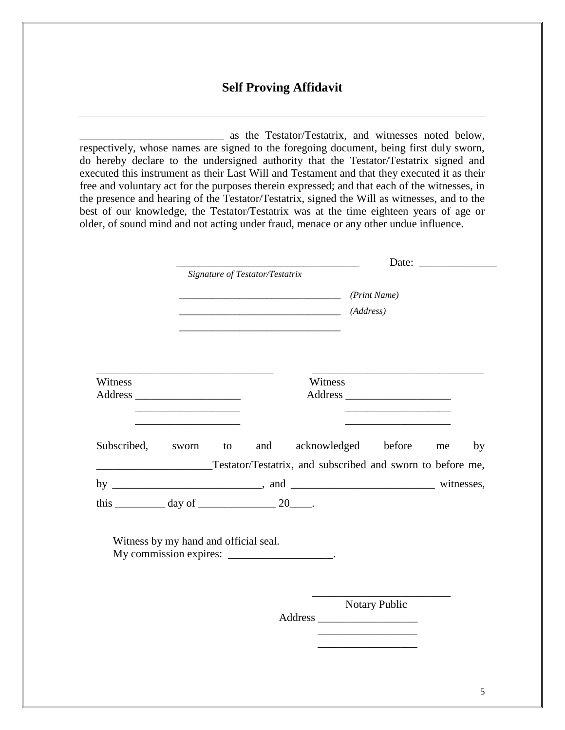# **Self Proving Affidavit**

\_\_\_\_\_\_\_\_\_\_\_\_\_\_\_\_\_\_\_\_\_\_\_\_\_\_ as the Testator/Testatrix, and witnesses noted below, respectively, whose names are signed to the foregoing document, being first duly sworn, do hereby declare to the undersigned authority that the Testator/Testatrix signed and executed this instrument as their Last Will and Testament and that they executed it as their free and voluntary act for the purposes therein expressed; and that each of the witnesses, in the presence and hearing of the Testator/Testatrix, signed the Will as witnesses, and to the best of our knowledge, the Testator/Testatrix was at the time eighteen years of age or older, of sound mind and not acting under fraud, menace or any other undue influence.

|                                                                 | Signature of Testator/Testatrix |     |                     | (Print Name)<br>(Address) |                                                                            |    |    |
|-----------------------------------------------------------------|---------------------------------|-----|---------------------|---------------------------|----------------------------------------------------------------------------|----|----|
|                                                                 |                                 |     |                     |                           |                                                                            |    |    |
|                                                                 |                                 |     |                     |                           |                                                                            |    |    |
|                                                                 |                                 |     |                     |                           |                                                                            |    |    |
|                                                                 |                                 |     |                     |                           |                                                                            |    |    |
|                                                                 |                                 |     |                     |                           |                                                                            |    |    |
|                                                                 |                                 |     |                     |                           |                                                                            |    |    |
| Witness                                                         |                                 |     | Witness             |                           |                                                                            |    |    |
| <b>Address</b>                                                  |                                 |     |                     |                           | <b>Address</b>                                                             |    |    |
|                                                                 |                                 |     |                     |                           | the control of the control of the control of the control of the control of |    |    |
| the control of the control of the control of the control of the |                                 |     |                     |                           | the control of the control of the control of the control of the control of |    |    |
| Subscribed,                                                     | sworn to                        | and | acknowledged before |                           |                                                                            | me | by |
| Testator/Testatrix, and subscribed and sworn to before me,      |                                 |     |                     |                           |                                                                            |    |    |
|                                                                 |                                 |     |                     |                           |                                                                            |    |    |
|                                                                 |                                 |     |                     |                           |                                                                            |    |    |
|                                                                 |                                 |     |                     |                           |                                                                            |    |    |